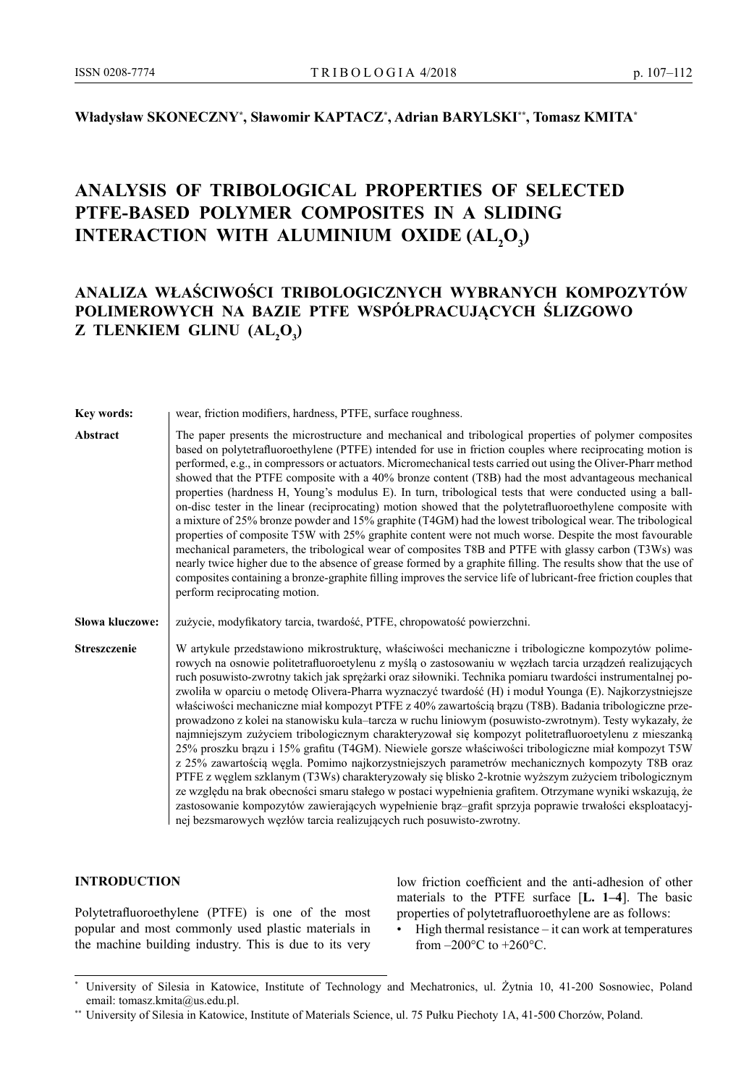# **Władysław SKONECZNY\* , Sławomir KAPTACZ\* , Adrian BARYLSKI\*\*, Tomasz KMITA\***

# **Analysis of tribological properties of selected PTFE-based polymer composites in a sliding**   $\textbf{INTERACTION}$  WITH ALUMINIUM  $\textbf{OXIDE}$   $(\textbf{AL}_2\textbf{O}_3)$

# **Analiza właściwości tribologicznych wybranych kompozytów polimerowych na bazie PTFE współpracujących ślizgowo z tlenkiem glinu (Al<sup>2</sup> O3 )**

**Key words:** | wear, friction modifiers, hardness, PTFE, surface roughness.

Abstract **The paper presents the microstructure and mechanical and tribological properties of polymer composites** based on polytetrafluoroethylene (PTFE) intended for use in friction couples where reciprocating motion is performed, e.g., in compressors or actuators. Micromechanical tests carried out using the Oliver-Pharr method showed that the PTFE composite with a 40% bronze content (T8B) had the most advantageous mechanical properties (hardness H, Young's modulus E). In turn, tribological tests that were conducted using a ballon-disc tester in the linear (reciprocating) motion showed that the polytetrafluoroethylene composite with a mixture of 25% bronze powder and 15% graphite (T4GM) had the lowest tribological wear. The tribological properties of composite T5W with 25% graphite content were not much worse. Despite the most favourable mechanical parameters, the tribological wear of composites T8B and PTFE with glassy carbon (T3Ws) was nearly twice higher due to the absence of grease formed by a graphite filling. The results show that the use of composites containing a bronze-graphite filling improves the service life of lubricant-free friction couples that perform reciprocating motion.

Słowa kluczowe: zużycie, modyfikatory tarcia, twardość, PTFE, chropowatość powierzchni.

**Streszczenie** W artykule przedstawiono mikrostrukturę, właściwości mechaniczne i tribologiczne kompozytów polimerowych na osnowie politetrafluoroetylenu z myślą o zastosowaniu w węzłach tarcia urządzeń realizujących ruch posuwisto-zwrotny takich jak sprężarki oraz siłowniki. Technika pomiaru twardości instrumentalnej pozwoliła w oparciu o metodę Olivera-Pharra wyznaczyć twardość (H) i moduł Younga (E). Najkorzystniejsze właściwości mechaniczne miał kompozyt PTFE z 40% zawartością brązu (T8B). Badania tribologiczne przeprowadzono z kolei na stanowisku kula–tarcza w ruchu liniowym (posuwisto-zwrotnym). Testy wykazały, że najmniejszym zużyciem tribologicznym charakteryzował się kompozyt politetrafluoroetylenu z mieszanką 25% proszku brązu i 15% grafitu (T4GM). Niewiele gorsze właściwości tribologiczne miał kompozyt T5W z 25% zawartością węgla. Pomimo najkorzystniejszych parametrów mechanicznych kompozyty T8B oraz PTFE z węglem szklanym (T3Ws) charakteryzowały się blisko 2-krotnie wyższym zużyciem tribologicznym ze względu na brak obecności smaru stałego w postaci wypełnienia grafitem. Otrzymane wyniki wskazują, że zastosowanie kompozytów zawierających wypełnienie brąz–grafit sprzyja poprawie trwałości eksploatacyjnej bezsmarowych węzłów tarcia realizujących ruch posuwisto-zwrotny.

# **INTRODUCTION**

Polytetrafluoroethylene (PTFE) is one of the most popular and most commonly used plastic materials in the machine building industry. This is due to its very

low friction coefficient and the anti-adhesion of other materials to the PTFE surface [**L. 1–4**]. The basic properties of polytetrafluoroethylene are as follows:

 $High thermal resistance - it can work at temperatures$ from  $-200\textdegree C$  to  $+260\textdegree C$ .

University of Silesia in Katowice, Institute of Technology and Mechatronics, ul. Żytnia 10, 41-200 Sosnowiec, Poland email: tomasz.kmita@us.edu.pl.

<sup>\*\*</sup> University of Silesia in Katowice, Institute of Materials Science, ul. 75 Pułku Piechoty 1A, 41-500 Chorzów, Poland.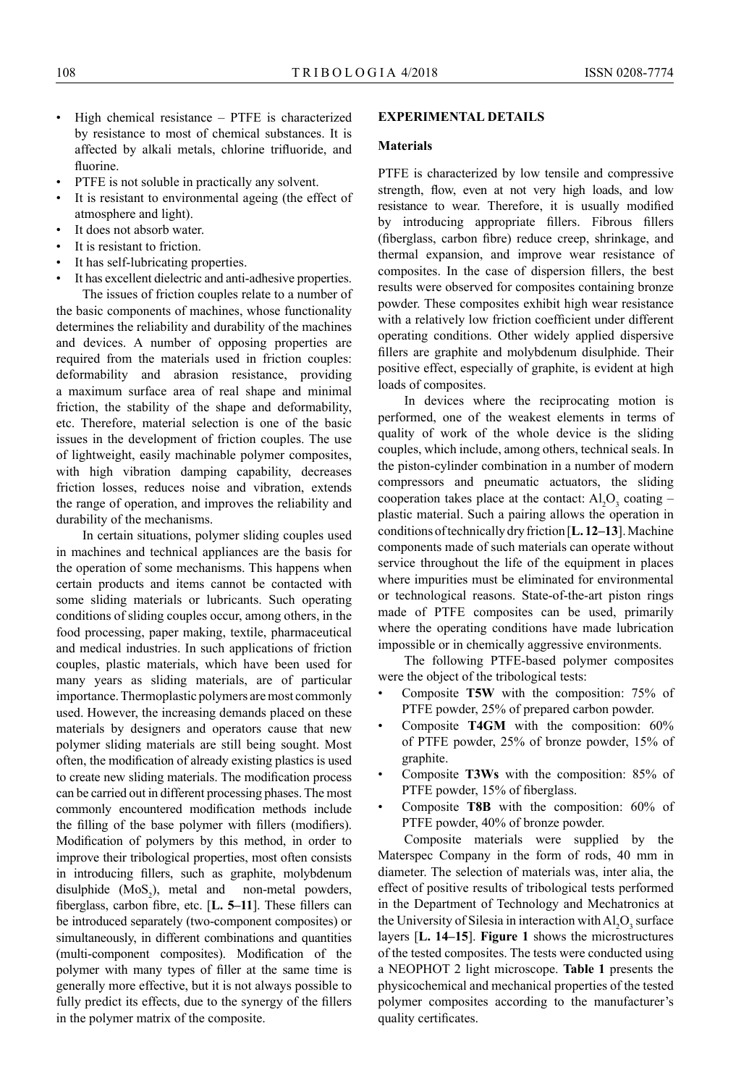- High chemical resistance PTFE is characterized by resistance to most of chemical substances. It is affected by alkali metals, chlorine trifluoride, and fluorine.
- PTFE is not soluble in practically any solvent.
- It is resistant to environmental ageing (the effect of atmosphere and light).
- It does not absorb water.
- It is resistant to friction.
- It has self-lubricating properties.
- It has excellent dielectric and anti-adhesive properties.

The issues of friction couples relate to a number of the basic components of machines, whose functionality determines the reliability and durability of the machines and devices. A number of opposing properties are required from the materials used in friction couples: deformability and abrasion resistance, providing a maximum surface area of real shape and minimal friction, the stability of the shape and deformability, etc. Therefore, material selection is one of the basic issues in the development of friction couples. The use of lightweight, easily machinable polymer composites, with high vibration damping capability, decreases friction losses, reduces noise and vibration, extends the range of operation, and improves the reliability and durability of the mechanisms.

In certain situations, polymer sliding couples used in machines and technical appliances are the basis for the operation of some mechanisms. This happens when certain products and items cannot be contacted with some sliding materials or lubricants. Such operating conditions of sliding couples occur, among others, in the food processing, paper making, textile, pharmaceutical and medical industries. In such applications of friction couples, plastic materials, which have been used for many years as sliding materials, are of particular importance. Thermoplastic polymers are most commonly used. However, the increasing demands placed on these materials by designers and operators cause that new polymer sliding materials are still being sought. Most often, the modification of already existing plastics is used to create new sliding materials. The modification process can be carried out in different processing phases. The most commonly encountered modification methods include the filling of the base polymer with fillers (modifiers). Modification of polymers by this method, in order to improve their tribological properties, most often consists in introducing fillers, such as graphite, molybdenum disulphide  $(MoS<sub>2</sub>)$ , metal and non-metal powders, fiberglass, carbon fibre, etc. [**L. 5–11**]. These fillers can be introduced separately (two-component composites) or simultaneously, in different combinations and quantities (multi-component composites). Modification of the polymer with many types of filler at the same time is generally more effective, but it is not always possible to fully predict its effects, due to the synergy of the fillers in the polymer matrix of the composite.

## **EXPERIMENTAL DETAILS**

#### **Materials**

PTFE is characterized by low tensile and compressive strength, flow, even at not very high loads, and low resistance to wear. Therefore, it is usually modified by introducing appropriate fillers. Fibrous fillers (fiberglass, carbon fibre) reduce creep, shrinkage, and thermal expansion, and improve wear resistance of composites. In the case of dispersion fillers, the best results were observed for composites containing bronze powder. These composites exhibit high wear resistance with a relatively low friction coefficient under different operating conditions. Other widely applied dispersive fillers are graphite and molybdenum disulphide. Their positive effect, especially of graphite, is evident at high loads of composites.

In devices where the reciprocating motion is performed, one of the weakest elements in terms of quality of work of the whole device is the sliding couples, which include, among others, technical seals. In the piston-cylinder combination in a number of modern compressors and pneumatic actuators, the sliding cooperation takes place at the contact:  $AI_2O_3$  coating – plastic material. Such a pairing allows the operation in conditions of technically dry friction [**L. 12–13**]. Machine components made of such materials can operate without service throughout the life of the equipment in places where impurities must be eliminated for environmental or technological reasons. State-of-the-art piston rings made of PTFE composites can be used, primarily where the operating conditions have made lubrication impossible or in chemically aggressive environments.

The following PTFE-based polymer composites were the object of the tribological tests:

- Composite **T5W** with the composition: 75% of PTFE powder, 25% of prepared carbon powder.
- Composite **T4GM** with the composition: 60% of PTFE powder, 25% of bronze powder, 15% of graphite.
- Composite **T3Ws** with the composition: 85% of PTFE powder, 15% of fiberglass.
- Composite **T8B** with the composition: 60% of PTFE powder, 40% of bronze powder.

Composite materials were supplied by the Materspec Company in the form of rods, 40 mm in diameter. The selection of materials was, inter alia, the effect of positive results of tribological tests performed in the Department of Technology and Mechatronics at the University of Silesia in interaction with  $Al_2O_3$  surface layers [**L. 14–15**]. **Figure 1** shows the microstructures of the tested composites. The tests were conducted using a NEOPHOT 2 light microscope. **Table 1** presents the physicochemical and mechanical properties of the tested polymer composites according to the manufacturer's quality certificates.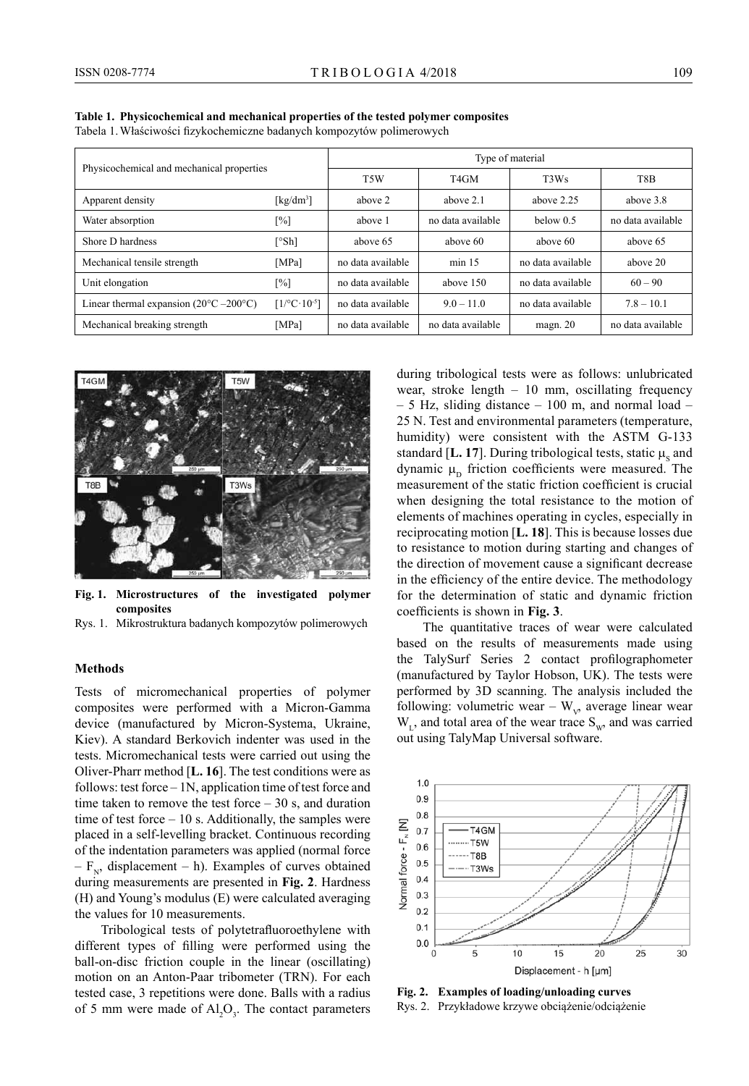| Physicochemical and mechanical properties               |                                        | Type of material  |                   |                   |                   |
|---------------------------------------------------------|----------------------------------------|-------------------|-------------------|-------------------|-------------------|
|                                                         |                                        | T <sub>5</sub> W  | T <sub>4</sub> GM | T3Ws              | T8B               |
| Apparent density                                        | [ $kg/dm^3$ ]                          | above 2           | above 2.1         | above $2.25$      | above $3.8$       |
| Water absorption                                        | $\lceil\% \rceil$                      | above 1           | no data available | below $0.5$       | no data available |
| Shore D hardness                                        | [°Sh]                                  | above 65          | above 60          | above 60          | above 65          |
| Mechanical tensile strength                             | [MPa]                                  | no data available | $min$ 15          | no data available | above 20          |
| Unit elongation                                         | [%]                                    | no data available | above 150         | no data available | $60 - 90$         |
| Linear thermal expansion $(20^{\circ}C - 200^{\circ}C)$ | $[1$ <sup>o</sup> C·10 <sup>-5</sup> ] | no data available | $9.0 - 11.0$      | no data available | $7.8 - 10.1$      |
| Mechanical breaking strength                            | [MPa]                                  | no data available | no data available | magn. $20$        | no data available |

**Table 1. Physicochemical and mechanical properties of the tested polymer composites** Tabela 1.Właściwości fizykochemiczne badanych kompozytów polimerowych



**Fig. 1. Microstructures of the investigated polymer composites**

Rys. 1. Mikrostruktura badanych kompozytów polimerowych

#### **Methods**

Tests of micromechanical properties of polymer composites were performed with a Micron-Gamma device (manufactured by Micron-Systema, Ukraine, Kiev). A standard Berkovich indenter was used in the tests. Micromechanical tests were carried out using the Oliver-Pharr method [**L. 16**]. The test conditions were as follows: test force – 1N, application time of test force and time taken to remove the test force  $-30$  s, and duration time of test force – 10 s. Additionally, the samples were placed in a self-levelling bracket. Continuous recording of the indentation parameters was applied (normal force  $-F_{N}$ , displacement – h). Examples of curves obtained during measurements are presented in **Fig. 2**. Hardness (H) and Young's modulus (E) were calculated averaging the values for 10 measurements.

Tribological tests of polytetrafluoroethylene with different types of filling were performed using the ball-on-disc friction couple in the linear (oscillating) motion on an Anton-Paar tribometer (TRN). For each tested case, 3 repetitions were done. Balls with a radius of 5 mm were made of  $Al_2O_3$ . The contact parameters during tribological tests were as follows: unlubricated wear, stroke length – 10 mm, oscillating frequency – 5 Hz, sliding distance – 100 m, and normal load – 25 N. Test and environmental parameters (temperature, humidity) were consistent with the ASTM G-133 standard [**L. 17**]. During tribological tests, static  $\mu_s$  and dynamic  $\mu_{\rm p}$  friction coefficients were measured. The measurement of the static friction coefficient is crucial when designing the total resistance to the motion of elements of machines operating in cycles, especially in reciprocating motion [**L. 18**]. This is because losses due to resistance to motion during starting and changes of the direction of movement cause a significant decrease in the efficiency of the entire device. The methodology for the determination of static and dynamic friction coefficients is shown in **Fig. 3**.

The quantitative traces of wear were calculated based on the results of measurements made using the TalySurf Series 2 contact profilographometer (manufactured by Taylor Hobson, UK). The tests were performed by 3D scanning. The analysis included the following: volumetric wear –  $W_{v}$ , average linear wear  $W_L$ , and total area of the wear trace  $S_W$ , and was carried out using TalyMap Universal software.



**Fig. 2. Examples of loading/unloading curves** Rys. 2. Przykładowe krzywe obciążenie/odciążenie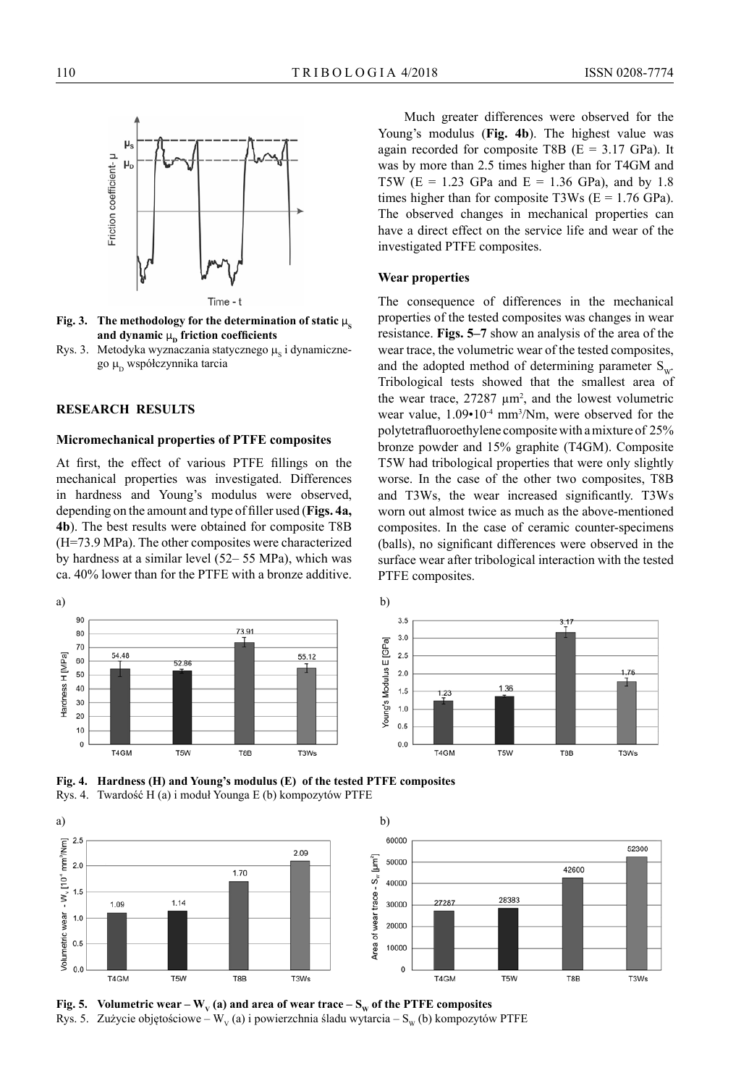

**Fig. 3.** The methodology for the determination of static  $\mu$ <sub>s</sub> **and dynamic μ<sub>p</sub> friction coefficients** 

Rys. 3. Metodyka wyznaczania statycznego  $\mu_s$  i dynamicznego  $\mu_{\rm D}$  współczynnika tarcia

## **RESEARCH RESULTS**

### **Micromechanical properties of PTFE composites**

At first, the effect of various PTFE fillings on the mechanical properties was investigated. Differences in hardness and Young's modulus were observed, depending on the amount and type of filler used (**Figs. 4a, 4b**). The best results were obtained for composite T8B (H=73.9 MPa). The other composites were characterized by hardness at a similar level (52– 55 MPa), which was ca. 40% lower than for the PTFE with a bronze additive.

a) b) 90 73.91 80 70 54.48 Hardness H [MPa] 55.12 60 52.86 50 40 30  $20$ 10  $\mathbf 0$ T<sub>4</sub>GM T<sub>5</sub>W T8B T3Ws



**Fig. 4. Hardness (H) and Young's modulus (E) of the tested PTFE composites** Rys. 4. Twardość H (a) i moduł Younga E (b) kompozytów PTFE





Fig. 5. Volumetric wear –  $W_v$  (a) and area of wear trace –  $S_w$  of the PTFE composites Rys. 5. Zużycie objętościowe – W<sub>v</sub> (a) i powierzchnia śladu wytarcia – S<sub>w</sub> (b) kompozytów PTFE

Young's modulus (**Fig. 4b**). The highest value was again recorded for composite T8B  $(E = 3.17 \text{ GPa})$ . It was by more than 2.5 times higher than for T4GM and T5W ( $E = 1.23$  GPa and  $E = 1.36$  GPa), and by 1.8 times higher than for composite T3Ws ( $E = 1.76$  GPa). The observed changes in mechanical properties can have a direct effect on the service life and wear of the investigated PTFE composites.

Much greater differences were observed for the

### **Wear properties**

The consequence of differences in the mechanical properties of the tested composites was changes in wear resistance. **Figs. 5–7** show an analysis of the area of the wear trace, the volumetric wear of the tested composites, and the adopted method of determining parameter  $S_{\text{w}}$ . Tribological tests showed that the smallest area of the wear trace,  $27287 \mu m^2$ , and the lowest volumetric wear value,  $1.09 \cdot 10^{-4}$  mm<sup>3</sup>/Nm, were observed for the polytetrafluoroethylene composite with a mixture of 25% bronze powder and 15% graphite (T4GM). Composite T5W had tribological properties that were only slightly worse. In the case of the other two composites, T8B and T3Ws, the wear increased significantly. T3Ws worn out almost twice as much as the above-mentioned composites. In the case of ceramic counter-specimens (balls), no significant differences were observed in the surface wear after tribological interaction with the tested PTFE composites.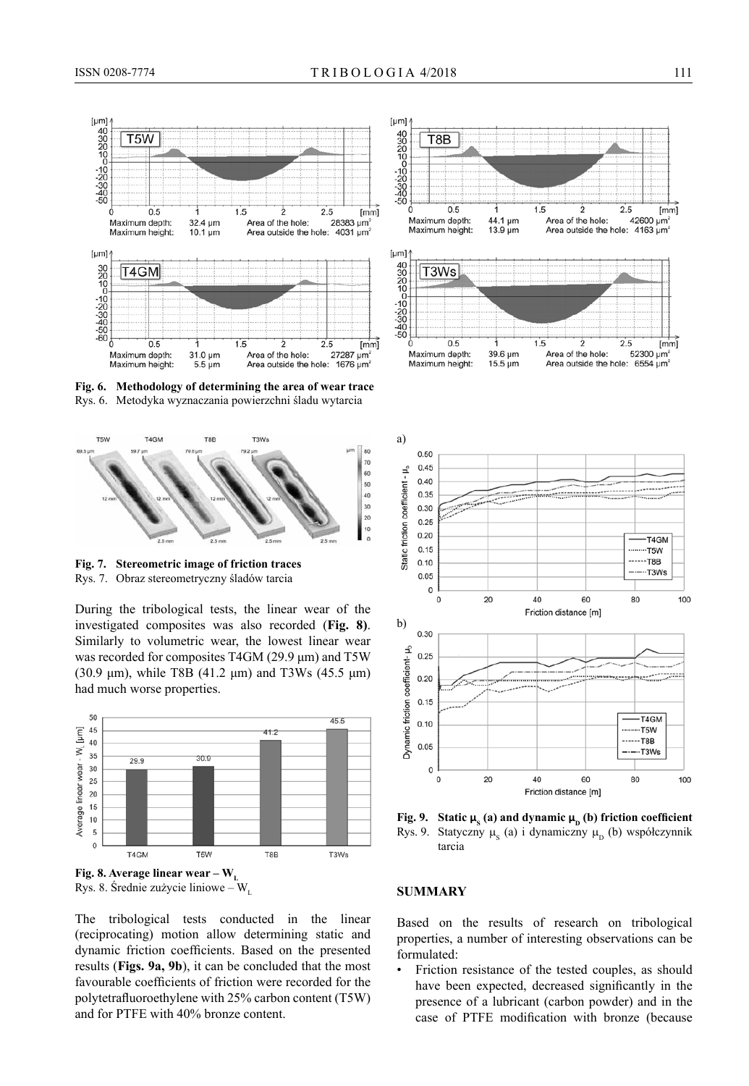

**Fig. 6. Methodology of determining the area of wear trace** Rys. 6. Metodyka wyznaczania powierzchni śladu wytarcia



**Fig. 7. Stereometric image of friction traces** Rys. 7. Obraz stereometryczny śladów tarcia

During the tribological tests, the linear wear of the investigated composites was also recorded (**Fig. 8)**. Similarly to volumetric wear, the lowest linear wear was recorded for composites T4GM (29.9 μm) and T5W (30.9 μm), while T8B (41.2 μm) and T3Ws (45.5 μm) had much worse properties.



Rys. 8. Średnie zużycie liniowe – W

The tribological tests conducted in the linear (reciprocating) motion allow determining static and dynamic friction coefficients. Based on the presented results (**Figs. 9a, 9b**), it can be concluded that the most favourable coefficients of friction were recorded for the polytetrafluoroethylene with 25% carbon content (T5W) and for PTFE with 40% bronze content.



**Fig. 9.** Static  $\mu_s$  (a) and dynamic  $\mu_p$  (b) friction coefficient Rys. 9. Statyczny  $\mu_s$  (a) i dynamiczny  $\mu_b$  (b) współczynnik tarcia

### **SUMMARY**

Based on the results of research on tribological properties, a number of interesting observations can be formulated:

Friction resistance of the tested couples, as should have been expected, decreased significantly in the presence of a lubricant (carbon powder) and in the case of PTFE modification with bronze (because

 $fmm$ 

 $[mm]$ 52300 um<sup>2</sup>

42600 µm<sup>2</sup>

 $2.5$ 

 $2.5$